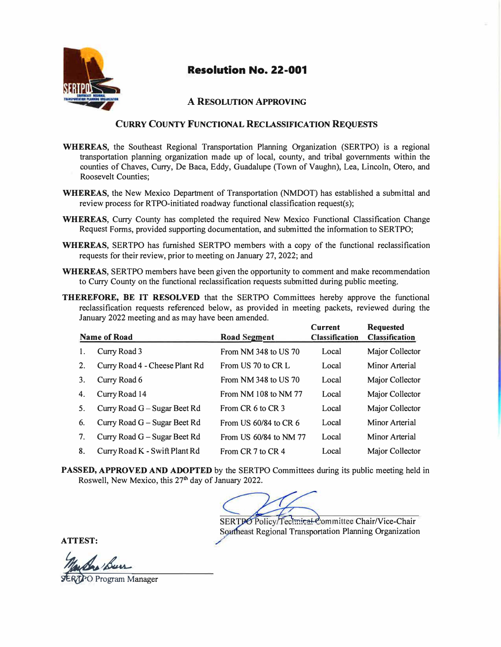

#### **A RESOLUTION APPROVING**

#### **CURRY COUNTY FUNCTIONAL RECLASSIFICATION REQUESTS**

- **WHEREAS,** the Southeast Regional Transportation Planning Organization (SERTPO) is a regional transportation planning organization made up of local, county, and tribal governments within the counties of Chaves, Curry, De Baca, Eddy, Guadalupe (Town of Vaughn), Lea, Lincoln, Otero, and Roosevelt Counties;
- **WHEREAS,** the New Mexico Department of Transportation (NMDOT) has established a submittal and review process for RTPO-initiated roadway functional classification request(s);
- **WHEREAS,** Curry County has completed the required New Mexico Functional Classification Change Request Forms, provided supporting documentation, and submitted the information to SERTPO;
- **WHEREAS,** SERTPO has furnished SERTPO members with a copy of the functional reclassification requests for their review, prior to meeting on January 27, 2022; and
- **WHEREAS,** SERTPO members have been given the opportunity to comment and make recommendation to Curry County on the functional reclassification requests submitted during public meeting.
- **THEREFORE, BE** IT **RESOLVED** that the SERTPO Committees hereby approve the functional reclassification requests referenced below, as provided in meeting packets, reviewed during the January 2022 meeting and as may have been amended.

| <b>Name of Road</b><br><b>Road Segment</b> |                                 | <b>Current</b><br><b>Classification</b> | <b>Requested</b><br><b>Classification</b> |                 |
|--------------------------------------------|---------------------------------|-----------------------------------------|-------------------------------------------|-----------------|
| 1.                                         | Curry Road 3                    | From NM 348 to US 70                    | Local                                     | Major Collector |
| 2.                                         | Curry Road 4 - Cheese Plant Rd  | From US 70 to CR L                      | Local                                     | Minor Arterial  |
| 3.                                         | Curry Road 6                    | From NM 348 to US 70                    | Local                                     | Major Collector |
| 4.                                         | Curry Road 14                   | From NM 108 to NM 77                    | Local                                     | Major Collector |
| 5.                                         | Curry Road $G - S$ ugar Beet Rd | From CR 6 to CR 3                       | Local                                     | Major Collector |
| 6.                                         | Curry Road G – Sugar Beet Rd    | From US $60/84$ to CR $6$               | Local                                     | Minor Arterial  |
| 7.                                         | Curry Road G - Sugar Beet Rd    | From US 60/84 to NM 77                  | Local                                     | Minor Arterial  |
| 8.                                         | Curry Road K - Swift Plant Rd   | From CR 7 to CR 4                       | Local                                     | Major Collector |

**PASSED, APPROVED AND ADOPTED** by the SERTPO Committees during its public meeting held in Roswell, New Mexico, this 27<sup>th</sup> day of January 2022.

SERTPO Policy/Teclmical Committee Chair/Vice-Chair Southeast Regional Transportation Planning Organization

**ATTEST:** 

**PO** Program Manager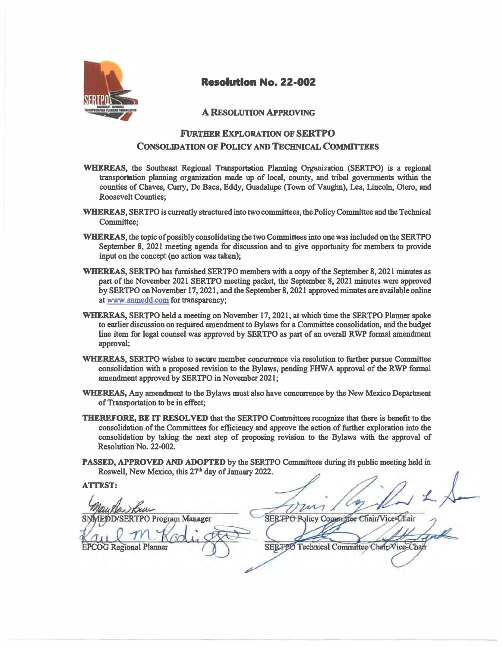

#### **A RESOLUTION APPROVING**

### **FlJRTHER EXPLORATION OF SERTPO CONSOLIDATION OF POLICY AND TECHNICAL COMMITTEES**

- **WHEREAS, the Southeast Regional Transportation Planning Organization (SERTPO) is a regional transportation planning organization made up of local, county, and tribal governments within the counties of Chaves, Cuny, De Baca, Eddy, Guadalupe {Town of Vaughn), Lea, Lincoln, Otero, and Roosevelt Counties;**
- **WHEREAS, SERTPO is currently structured into two committees, the Policy Committee and the Technical Committee;**
- **WHEREAS, the topic of possibly consolidating the two Committees into one was included on the SERTPO September 8, 2021 meeting agenda for discussion and to give opportunity for members to provide input on the concept (no action was taken);**
- **WHEREAS, SERTPO has furnished SERTPO members with a copy of the September 8, 2021 minutes as part of the November 2021 SERTPO meeting packet, the September 8, 2021 minutes were approved by SERTPO on November 17, 2021, and the September 8, 2021 approved minutes are available online at www.snmedd.com for transparency;**
- **WHEREAS, SERTPO held a meeting on November 17, 2021, at which time the SERTPO Planner spoke to earlier discussion on required amendment to Bylaws for a Committee consolidation, and the budget line item for legal counsel was approved by SERTPO as part of an overall RWP formal amendment approval;**
- **WHEREAS, SERTPO wishes to secure member concurrence via resolution to further pursue Committee**  consolidation with a proposed revision to the Bylaws, pending FHWA approval of the RWP formal **amendment approved by SERTPO in November 2021;**
- **WHEREAS, Any amendment to the Bylaws must also have concurrence by the New Mexico Department of Transportation to be in effect;**
- **THEREFORE, BE IT RESOLVED that the SERTPO Committees recognize that there is benefit to the consolidation of the Committees for efficiency and approve the action of further exploration into the consolidation by taking the next step of proposing revision to the Bylaws with the approval of Resolution No. 22-002.**
- **PASSED, APPROVED AND ADOPTED by the SERTPO Committees during its public meeting held in**  Roswell, New Mexico, this 27<sup>th</sup> day of January 2022.

**ATIEST:** 

**SERTPO Program Manager** 

**EPCOG** Regional Planner

SERTPO Policy Committee Chair/Vice-Chair

SERTEO Technical Committee Chair Vice-Chai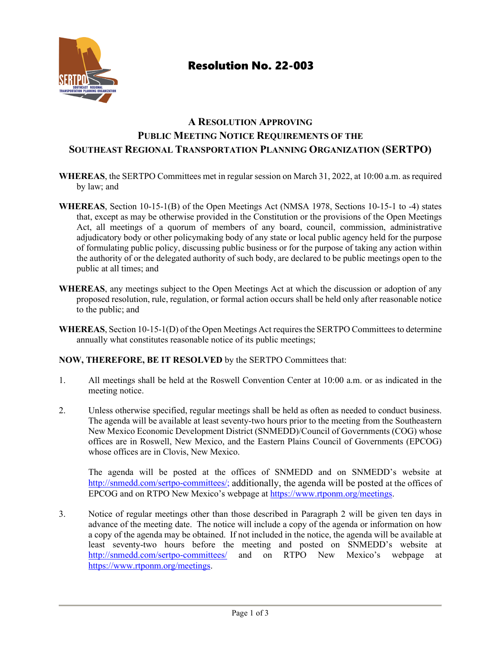

# **A RESOLUTION APPROVING PUBLIC MEETING NOTICE REQUIREMENTS OF THE SOUTHEAST REGIONAL TRANSPORTATION PLANNING ORGANIZATION (SERTPO)**

- **WHEREAS**, the SERTPO Committees met in regular session on March 31, 2022, at 10:00 a.m. as required by law; and
- **WHEREAS**, Section 10-15-1(B) of the Open Meetings Act (NMSA 1978, Sections 10-15-1 to -4) states that, except as may be otherwise provided in the Constitution or the provisions of the Open Meetings Act, all meetings of a quorum of members of any board, council, commission, administrative adjudicatory body or other policymaking body of any state or local public agency held for the purpose of formulating public policy, discussing public business or for the purpose of taking any action within the authority of or the delegated authority of such body, are declared to be public meetings open to the public at all times; and
- **WHEREAS**, any meetings subject to the Open Meetings Act at which the discussion or adoption of any proposed resolution, rule, regulation, or formal action occurs shall be held only after reasonable notice to the public; and
- WHEREAS, Section 10-15-1(D) of the Open Meetings Act requires the SERTPO Committees to determine annually what constitutes reasonable notice of its public meetings;

### **NOW, THEREFORE, BE IT RESOLVED** by the SERTPO Committees that:

- 1. All meetings shall be held at the Roswell Convention Center at 10:00 a.m. or as indicated in the meeting notice.
- 2. Unless otherwise specified, regular meetings shall be held as often as needed to conduct business. The agenda will be available at least seventy-two hours prior to the meeting from the Southeastern New Mexico Economic Development District (SNMEDD)/Council of Governments (COG) whose offices are in Roswell, New Mexico, and the Eastern Plains Council of Governments (EPCOG) whose offices are in Clovis, New Mexico.

The agenda will be posted at the offices of SNMEDD and on SNMEDD's website at [http://snmedd.com/sertpo-committees/;](http://snmedd.com/sertpo-committees/) additionally, the agenda will be posted at the offices of EPCOG and on RTPO New Mexico's webpage at [https://www.rtponm.org/meetings.](https://www.rtponm.org/meetings)

3. Notice of regular meetings other than those described in Paragraph 2 will be given ten days in advance of the meeting date. The notice will include a copy of the agenda or information on how a copy of the agenda may be obtained. If not included in the notice, the agenda will be available at least seventy-two hours before the meeting and posted on SNMEDD's website at <http://snmedd.com/sertpo-committees/> and on RTPO New Mexico's webpage at [https://www.rtponm.org/meetings.](https://www.rtponm.org/meetings)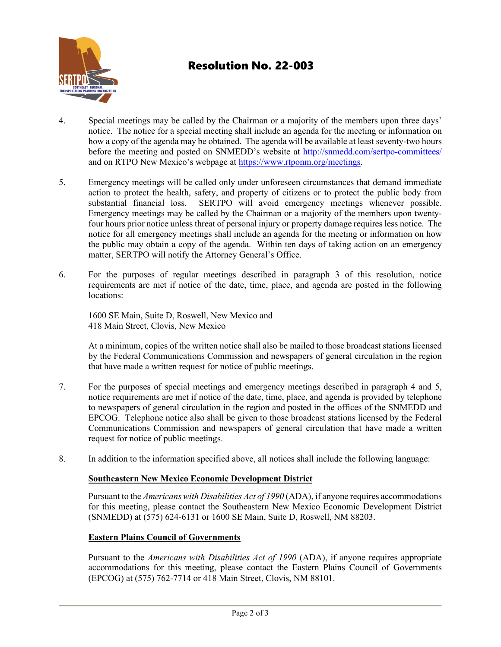

- 4. Special meetings may be called by the Chairman or a majority of the members upon three days' notice. The notice for a special meeting shall include an agenda for the meeting or information on how a copy of the agenda may be obtained. The agenda will be available at least seventy-two hours before the meeting and posted on SNMEDD's website at http://snmedd.com/sertpo-committees/ and on RTPO New Mexico's webpage at [https://www.rtponm.org/meetings.](https://www.rtponm.org/meetings)
- 5. Emergency meetings will be called only under unforeseen circumstances that demand immediate action to protect the health, safety, and property of citizens or to protect the public body from substantial financial loss. SERTPO will avoid emergency meetings whenever possible. Emergency meetings may be called by the Chairman or a majority of the members upon twentyfour hours prior notice unless threat of personal injury or property damage requires less notice. The notice for all emergency meetings shall include an agenda for the meeting or information on how the public may obtain a copy of the agenda. Within ten days of taking action on an emergency matter, SERTPO will notify the Attorney General's Office.
- 6. For the purposes of regular meetings described in paragraph 3 of this resolution, notice requirements are met if notice of the date, time, place, and agenda are posted in the following locations:

1600 SE Main, Suite D, Roswell, New Mexico and 418 Main Street, Clovis, New Mexico

At a minimum, copies of the written notice shall also be mailed to those broadcast stations licensed by the Federal Communications Commission and newspapers of general circulation in the region that have made a written request for notice of public meetings.

- 7. For the purposes of special meetings and emergency meetings described in paragraph 4 and 5, notice requirements are met if notice of the date, time, place, and agenda is provided by telephone to newspapers of general circulation in the region and posted in the offices of the SNMEDD and EPCOG. Telephone notice also shall be given to those broadcast stations licensed by the Federal Communications Commission and newspapers of general circulation that have made a written request for notice of public meetings.
- 8. In addition to the information specified above, all notices shall include the following language:

### **Southeastern New Mexico Economic Development District**

Pursuant to the *Americans with Disabilities Act of 1990* (ADA), if anyone requires accommodations for this meeting, please contact the Southeastern New Mexico Economic Development District (SNMEDD) at (575) 624-6131 or 1600 SE Main, Suite D, Roswell, NM 88203.

### **Eastern Plains Council of Governments**

Pursuant to the *Americans with Disabilities Act of 1990* (ADA), if anyone requires appropriate accommodations for this meeting, please contact the Eastern Plains Council of Governments (EPCOG) at (575) 762-7714 or 418 Main Street, Clovis, NM 88101.